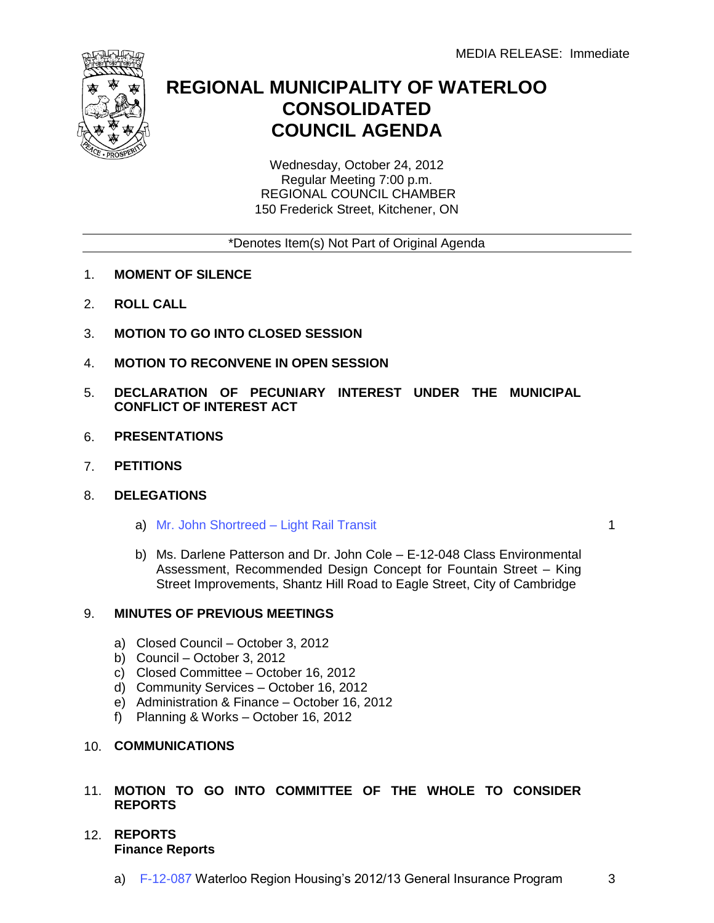

# **REGIONAL MUNICIPALITY OF WATERLOO CONSOLIDATED COUNCIL AGENDA**

Wednesday, October 24, 2012 Regular Meeting 7:00 p.m. REGIONAL COUNCIL CHAMBER 150 Frederick Street, Kitchener, ON

\*Denotes Item(s) Not Part of Original Agenda

- 1. **MOMENT OF SILENCE**
- 2. **ROLL CALL**
- 3. **MOTION TO GO INTO CLOSED SESSION**
- 4. **MOTION TO RECONVENE IN OPEN SESSION**
- 5. **DECLARATION OF PECUNIARY INTEREST UNDER THE MUNICIPAL CONFLICT OF INTEREST ACT**
- 6. **PRESENTATIONS**
- 7. **PETITIONS**
- 8. **DELEGATIONS**
	- a) [Mr. John Shortreed –](#page-3-0) Light Rail Transit

1

b) Ms. Darlene Patterson and Dr. John Cole – E-12-048 Class Environmental Assessment, Recommended Design Concept for Fountain Street – King Street Improvements, Shantz Hill Road to Eagle Street, City of Cambridge

### 9. **MINUTES OF PREVIOUS MEETINGS**

- a) Closed Council October 3, 2012
- b) Council October 3, 2012
- c) Closed Committee October 16, 2012
- d) Community Services October 16, 2012
- e) Administration & Finance October 16, 2012
- f) Planning & Works October 16, 2012
- 10. **COMMUNICATIONS**

#### 11. **MOTION TO GO INTO COMMITTEE OF THE WHOLE TO CONSIDER REPORTS**

- 12. **REPORTS Finance Reports**
	- a) [F-12-087](#page-5-0) Waterloo Region Housing's 2012/13 General Insurance Program 3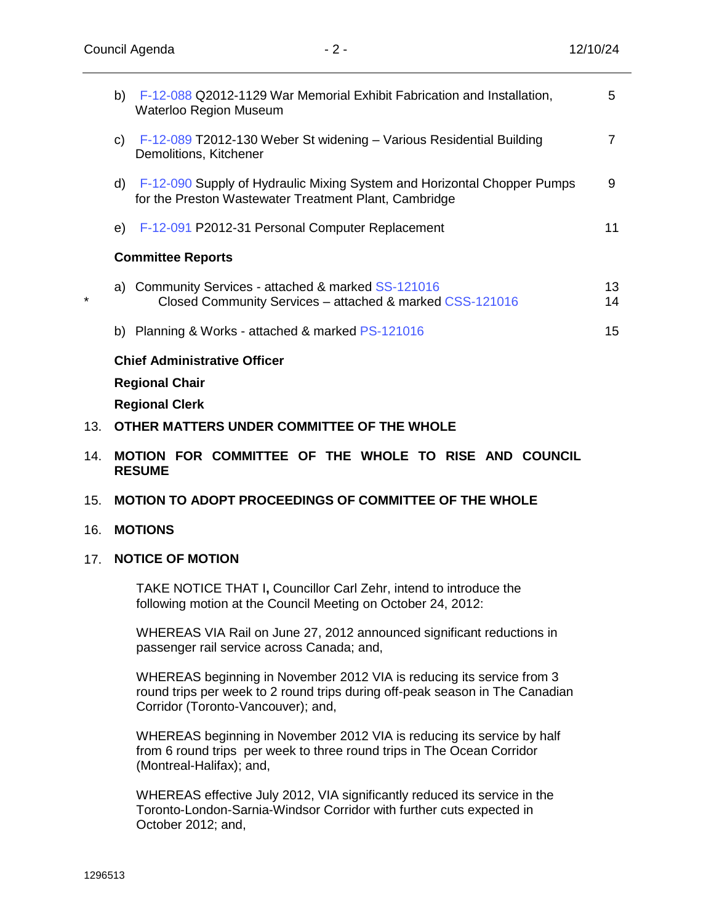| b) F-12-088 Q2012-1129 War Memorial Exhibit Fabrication and Installation,<br><b>Waterloo Region Museum</b>                          | 5        |
|-------------------------------------------------------------------------------------------------------------------------------------|----------|
| F-12-089 T2012-130 Weber St widening - Various Residential Building<br>C)<br>Demolitions, Kitchener                                 | 7        |
| d) F-12-090 Supply of Hydraulic Mixing System and Horizontal Chopper Pumps<br>for the Preston Wastewater Treatment Plant, Cambridge | 9        |
| F-12-091 P2012-31 Personal Computer Replacement<br>e).                                                                              | 11       |
| <b>Committee Reports</b>                                                                                                            |          |
| a) Community Services - attached & marked SS-121016<br>Closed Community Services - attached & marked CSS-121016                     | 13<br>14 |
| b) Planning & Works - attached & marked $PS-121016$                                                                                 | 15       |
| <b>Chief Administrative Officer</b>                                                                                                 |          |
| <b>Regional Chair</b>                                                                                                               |          |
| <b>Regional Clerk</b>                                                                                                               |          |

- 13. **OTHER MATTERS UNDER COMMITTEE OF THE WHOLE**
- 14. **MOTION FOR COMMITTEE OF THE WHOLE TO RISE AND COUNCIL RESUME**
- 15. **MOTION TO ADOPT PROCEEDINGS OF COMMITTEE OF THE WHOLE**

### 16. **MOTIONS**

\*

# 17. **NOTICE OF MOTION**

TAKE NOTICE THAT I**,** Councillor Carl Zehr, intend to introduce the following motion at the Council Meeting on October 24, 2012:

WHEREAS VIA Rail on June 27, 2012 announced significant reductions in passenger rail service across Canada; and,

WHEREAS beginning in November 2012 VIA is reducing its service from 3 round trips per week to 2 round trips during off-peak season in The Canadian Corridor (Toronto-Vancouver); and,

WHEREAS beginning in November 2012 VIA is reducing its service by half from 6 round trips per week to three round trips in The Ocean Corridor (Montreal-Halifax); and,

WHEREAS effective July 2012, VIA significantly reduced its service in the Toronto-London-Sarnia-Windsor Corridor with further cuts expected in October 2012; and,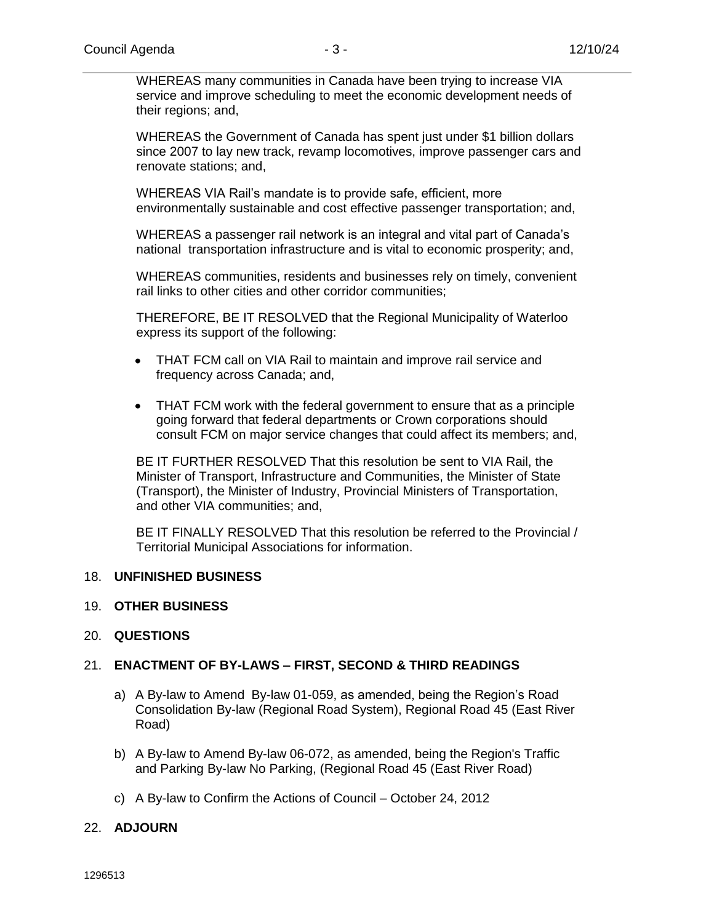WHEREAS many communities in Canada have been trying to increase VIA service and improve scheduling to meet the economic development needs of their regions; and,

WHEREAS the Government of Canada has spent just under \$1 billion dollars since 2007 to lay new track, revamp locomotives, improve passenger cars and renovate stations; and,

WHEREAS VIA Rail's mandate is to provide safe, efficient, more environmentally sustainable and cost effective passenger transportation; and,

WHEREAS a passenger rail network is an integral and vital part of Canada's national transportation infrastructure and is vital to economic prosperity; and,

WHEREAS communities, residents and businesses rely on timely, convenient rail links to other cities and other corridor communities;

THEREFORE, BE IT RESOLVED that the Regional Municipality of Waterloo express its support of the following:

- THAT FCM call on VIA Rail to maintain and improve rail service and frequency across Canada; and,
- THAT FCM work with the federal government to ensure that as a principle going forward that federal departments or Crown corporations should consult FCM on major service changes that could affect its members; and,

BE IT FURTHER RESOLVED That this resolution be sent to VIA Rail, the Minister of Transport, Infrastructure and Communities, the Minister of State (Transport), the Minister of Industry, Provincial Ministers of Transportation, and other VIA communities; and,

BE IT FINALLY RESOLVED That this resolution be referred to the Provincial / Territorial Municipal Associations for information.

#### 18. **UNFINISHED BUSINESS**

#### 19. **OTHER BUSINESS**

#### 20. **QUESTIONS**

#### 21. **ENACTMENT OF BY-LAWS – FIRST, SECOND & THIRD READINGS**

- a) A By-law to Amend By-law 01-059, as amended, being the Region's Road Consolidation By-law (Regional Road System), Regional Road 45 (East River Road)
- b) A By-law to Amend By-law 06-072, as amended, being the Region's Traffic and Parking By-law No Parking, (Regional Road 45 (East River Road)
- c) A By-law to Confirm the Actions of Council October 24, 2012

#### 22. **ADJOURN**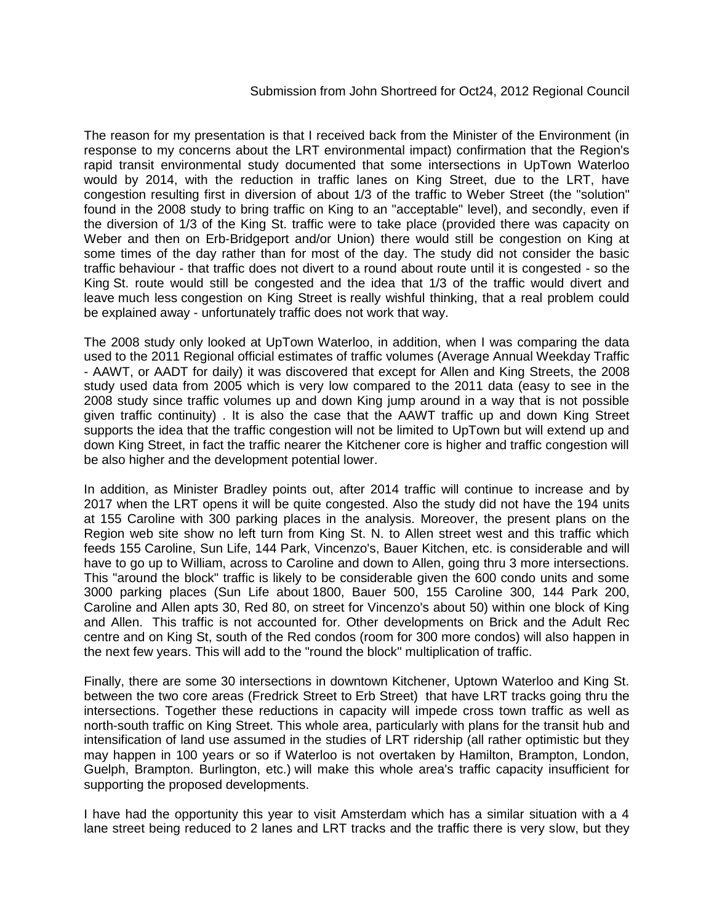<span id="page-3-0"></span>The reason for my presentation is that I received back from the Minister of the Environment (in response to my concerns about the LRT environmental impact) confirmation that the Region's rapid transit environmental study documented that some intersections in UpTown Waterloo would by 2014, with the reduction in traffic lanes on King Street, due to the LRT, have congestion resulting first in diversion of about 1/3 of the traffic to Weber Street (the "solution" found in the 2008 study to bring traffic on King to an "acceptable" level), and secondly, even if the diversion of 1/3 of the King St. traffic were to take place (provided there was capacity on Weber and then on Erb-Bridgeport and/or Union) there would still be congestion on King at some times of the day rather than for most of the day. The study did not consider the basic traffic behaviour - that traffic does not divert to a round about route until it is congested - so the King St. route would still be congested and the idea that 1/3 of the traffic would divert and leave much less congestion on King Street is really wishful thinking, that a real problem could be explained away - unfortunately traffic does not work that way.

The 2008 study only looked at UpTown Waterloo, in addition, when I was comparing the data used to the 2011 Regional official estimates of traffic volumes (Average Annual Weekday Traffic - AAWT, or AADT for daily) it was discovered that except for Allen and King Streets, the 2008 study used data from 2005 which is very low compared to the 2011 data (easy to see in the 2008 study since traffic volumes up and down King jump around in a way that is not possible given traffic continuity) . It is also the case that the AAWT traffic up and down King Street supports the idea that the traffic congestion will not be limited to UpTown but will extend up and down King Street, in fact the traffic nearer the Kitchener core is higher and traffic congestion will be also higher and the development potential lower.

In addition, as Minister Bradley points out, after 2014 traffic will continue to increase and by 2017 when the LRT opens it will be quite congested. Also the study did not have the 194 units at 155 Caroline with 300 parking places in the analysis. Moreover, the present plans on the Region web site show no left turn from King St. N. to Allen street west and this traffic which feeds 155 Caroline, Sun Life, 144 Park, Vincenzo's, Bauer Kitchen, etc. is considerable and will have to go up to William, across to Caroline and down to Allen, going thru 3 more intersections. This "around the block" traffic is likely to be considerable given the 600 condo units and some 3000 parking places (Sun Life about 1800, Bauer 500, 155 Caroline 300, 144 Park 200, Caroline and Allen apts 30, Red 80, on street for Vincenzo's about 50) within one block of King and Allen. This traffic is not accounted for. Other developments on Brick and the Adult Rec centre and on King St, south of the Red condos (room for 300 more condos) will also happen in the next few years. This will add to the "round the block" multiplication of traffic.

Finally, there are some 30 intersections in downtown Kitchener, Uptown Waterloo and King St. between the two core areas (Fredrick Street to Erb Street) that have LRT tracks going thru the intersections. Together these reductions in capacity will impede cross town traffic as well as north-south traffic on King Street. This whole area, particularly with plans for the transit hub and intensification of land use assumed in the studies of LRT ridership (all rather optimistic but they may happen in 100 years or so if Waterloo is not overtaken by Hamilton, Brampton, London, Guelph, Brampton. Burlington, etc.) will make this whole area's traffic capacity insufficient for supporting the proposed developments.

I have had the opportunity this year to visit Amsterdam which has a similar situation with a 4 lane street being reduced to 2 lanes and LRT tracks and the traffic there is very slow, but they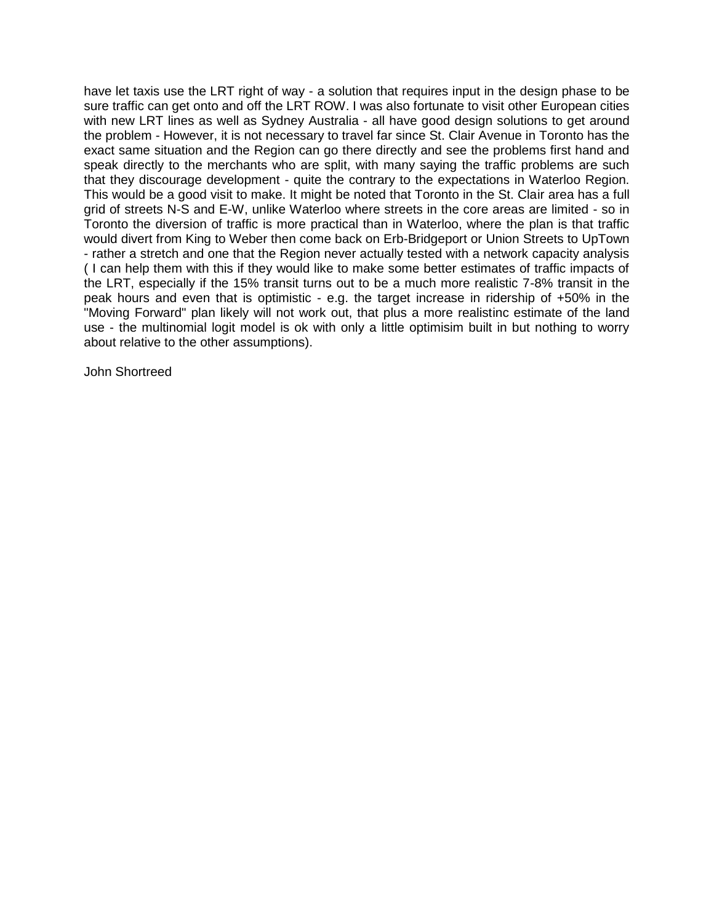have let taxis use the LRT right of way - a solution that requires input in the design phase to be sure traffic can get onto and off the LRT ROW. I was also fortunate to visit other European cities with new LRT lines as well as Sydney Australia - all have good design solutions to get around the problem - However, it is not necessary to travel far since St. Clair Avenue in Toronto has the exact same situation and the Region can go there directly and see the problems first hand and speak directly to the merchants who are split, with many saying the traffic problems are such that they discourage development - quite the contrary to the expectations in Waterloo Region. This would be a good visit to make. It might be noted that Toronto in the St. Clair area has a full grid of streets N-S and E-W, unlike Waterloo where streets in the core areas are limited - so in Toronto the diversion of traffic is more practical than in Waterloo, where the plan is that traffic would divert from King to Weber then come back on Erb-Bridgeport or Union Streets to UpTown - rather a stretch and one that the Region never actually tested with a network capacity analysis ( I can help them with this if they would like to make some better estimates of traffic impacts of the LRT, especially if the 15% transit turns out to be a much more realistic 7-8% transit in the peak hours and even that is optimistic - e.g. the target increase in ridership of +50% in the "Moving Forward" plan likely will not work out, that plus a more realistinc estimate of the land use - the multinomial logit model is ok with only a little optimisim built in but nothing to worry about relative to the other assumptions).

John Shortreed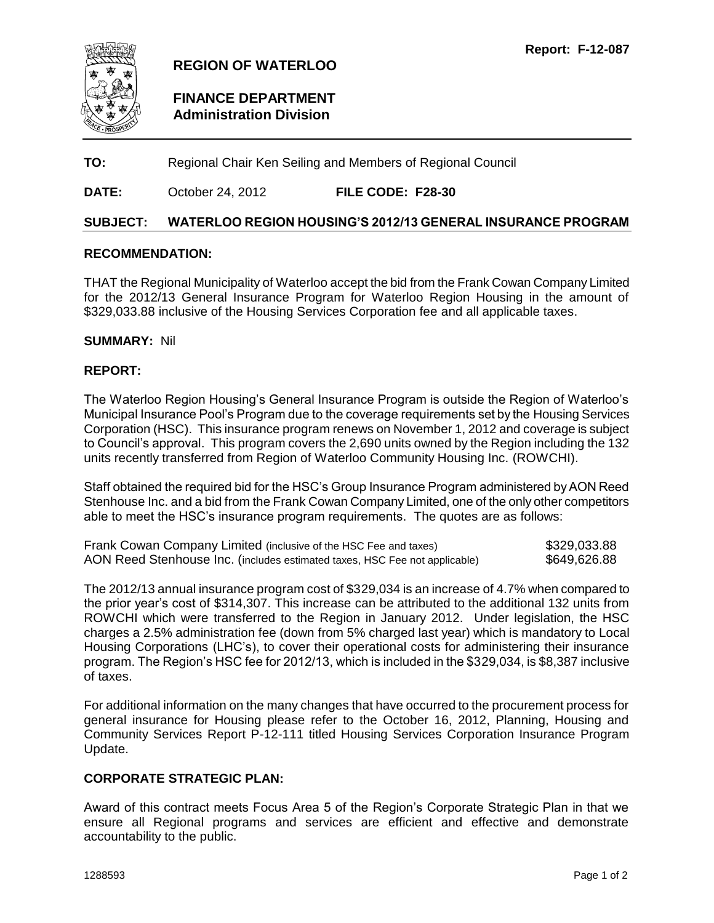<span id="page-5-0"></span>

# **FINANCE DEPARTMENT Administration Division**

**TO:** Regional Chair Ken Seiling and Members of Regional Council

# **DATE:** October 24, 2012 **FILE CODE: F28-30**

#### **SUBJECT: WATERLOO REGION HOUSING'S 2012/13 GENERAL INSURANCE PROGRAM**

#### **RECOMMENDATION:**

THAT the Regional Municipality of Waterloo accept the bid from the Frank Cowan Company Limited for the 2012/13 General Insurance Program for Waterloo Region Housing in the amount of \$329,033.88 inclusive of the Housing Services Corporation fee and all applicable taxes.

#### **SUMMARY:** Nil

#### **REPORT:**

The Waterloo Region Housing's General Insurance Program is outside the Region of Waterloo's Municipal Insurance Pool's Program due to the coverage requirements set by the Housing Services Corporation (HSC). This insurance program renews on November 1, 2012 and coverage is subject to Council's approval. This program covers the 2,690 units owned by the Region including the 132 units recently transferred from Region of Waterloo Community Housing Inc. (ROWCHI).

Staff obtained the required bid for the HSC's Group Insurance Program administered by AON Reed Stenhouse Inc. and a bid from the Frank Cowan Company Limited, one of the only other competitors able to meet the HSC's insurance program requirements. The quotes are as follows:

| Frank Cowan Company Limited (inclusive of the HSC Fee and taxes)           | \$329,033.88 |
|----------------------------------------------------------------------------|--------------|
| AON Reed Stenhouse Inc. (includes estimated taxes, HSC Fee not applicable) | \$649,626.88 |

The 2012/13 annual insurance program cost of \$329,034 is an increase of 4.7% when compared to the prior year's cost of \$314,307. This increase can be attributed to the additional 132 units from ROWCHI which were transferred to the Region in January 2012. Under legislation, the HSC charges a 2.5% administration fee (down from 5% charged last year) which is mandatory to Local Housing Corporations (LHC's), to cover their operational costs for administering their insurance program. The Region's HSC fee for 2012/13, which is included in the \$329,034, is \$8,387 inclusive of taxes.

For additional information on the many changes that have occurred to the procurement process for general insurance for Housing please refer to the October 16, 2012, Planning, Housing and Community Services Report P-12-111 titled Housing Services Corporation Insurance Program Update.

#### **CORPORATE STRATEGIC PLAN:**

Award of this contract meets Focus Area 5 of the Region's Corporate Strategic Plan in that we ensure all Regional programs and services are efficient and effective and demonstrate accountability to the public.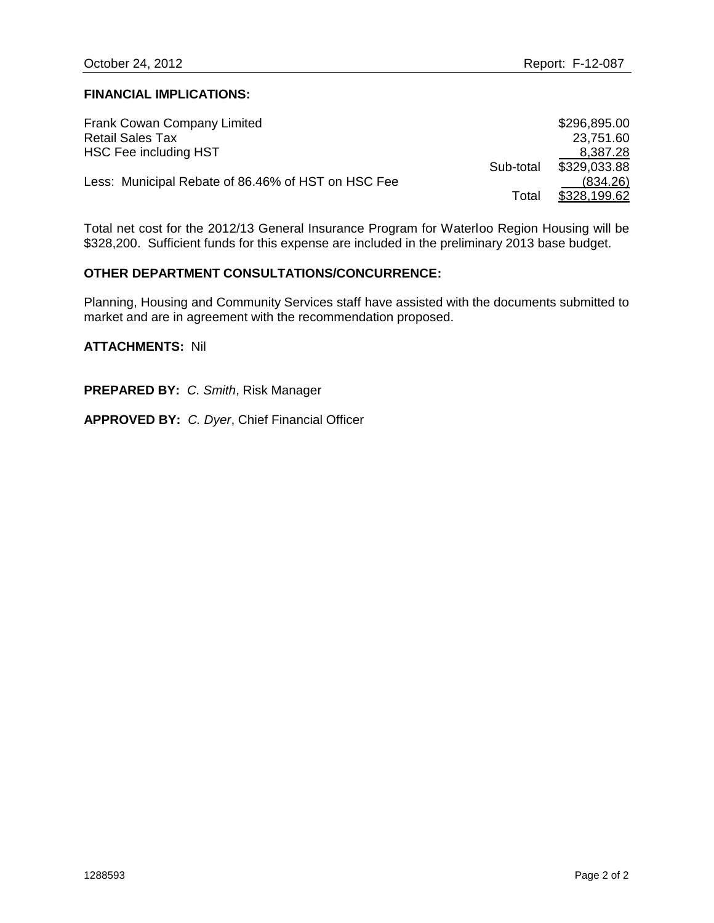#### **FINANCIAL IMPLICATIONS:**

| <b>Frank Cowan Company Limited</b>                 |           | \$296,895.00 |
|----------------------------------------------------|-----------|--------------|
| <b>Retail Sales Tax</b>                            |           | 23,751.60    |
| HSC Fee including HST                              |           | 8,387.28     |
|                                                    | Sub-total | \$329,033.88 |
| Less: Municipal Rebate of 86.46% of HST on HSC Fee |           | (834.26)     |
|                                                    | Total     | \$328,199.62 |

Total net cost for the 2012/13 General Insurance Program for Waterloo Region Housing will be \$328,200. Sufficient funds for this expense are included in the preliminary 2013 base budget.

#### **OTHER DEPARTMENT CONSULTATIONS/CONCURRENCE:**

Planning, Housing and Community Services staff have assisted with the documents submitted to market and are in agreement with the recommendation proposed.

**ATTACHMENTS:** Nil

**PREPARED BY:** *C. Smith*, Risk Manager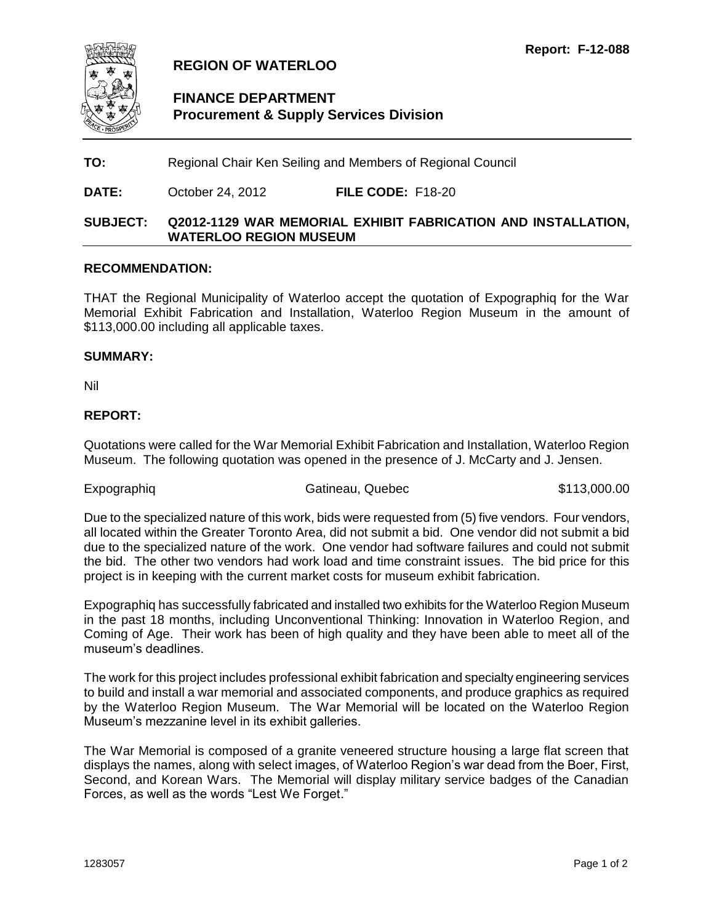<span id="page-7-0"></span>

# **FINANCE DEPARTMENT Procurement & Supply Services Division**

**TO:** Regional Chair Ken Seiling and Members of Regional Council

**DATE:** October 24, 2012 **FILE CODE:** F18-20

#### **SUBJECT: Q2012-1129 WAR MEMORIAL EXHIBIT FABRICATION AND INSTALLATION, WATERLOO REGION MUSEUM**

#### **RECOMMENDATION:**

THAT the Regional Municipality of Waterloo accept the quotation of Expographiq for the War Memorial Exhibit Fabrication and Installation, Waterloo Region Museum in the amount of \$113,000.00 including all applicable taxes.

#### **SUMMARY:**

Nil

#### **REPORT:**

Quotations were called for the War Memorial Exhibit Fabrication and Installation, Waterloo Region Museum. The following quotation was opened in the presence of J. McCarty and J. Jensen.

Expographig Catineau, Quebec \$113,000.00

Due to the specialized nature of this work, bids were requested from (5) five vendors. Four vendors, all located within the Greater Toronto Area, did not submit a bid. One vendor did not submit a bid due to the specialized nature of the work. One vendor had software failures and could not submit the bid. The other two vendors had work load and time constraint issues. The bid price for this project is in keeping with the current market costs for museum exhibit fabrication.

Expographiq has successfully fabricated and installed two exhibits for the Waterloo Region Museum in the past 18 months, including Unconventional Thinking: Innovation in Waterloo Region, and Coming of Age. Their work has been of high quality and they have been able to meet all of the museum's deadlines.

The work for this project includes professional exhibit fabrication and specialty engineering services to build and install a war memorial and associated components, and produce graphics as required by the Waterloo Region Museum. The War Memorial will be located on the Waterloo Region Museum's mezzanine level in its exhibit galleries.

The War Memorial is composed of a granite veneered structure housing a large flat screen that displays the names, along with select images, of Waterloo Region's war dead from the Boer, First, Second, and Korean Wars. The Memorial will display military service badges of the Canadian Forces, as well as the words "Lest We Forget."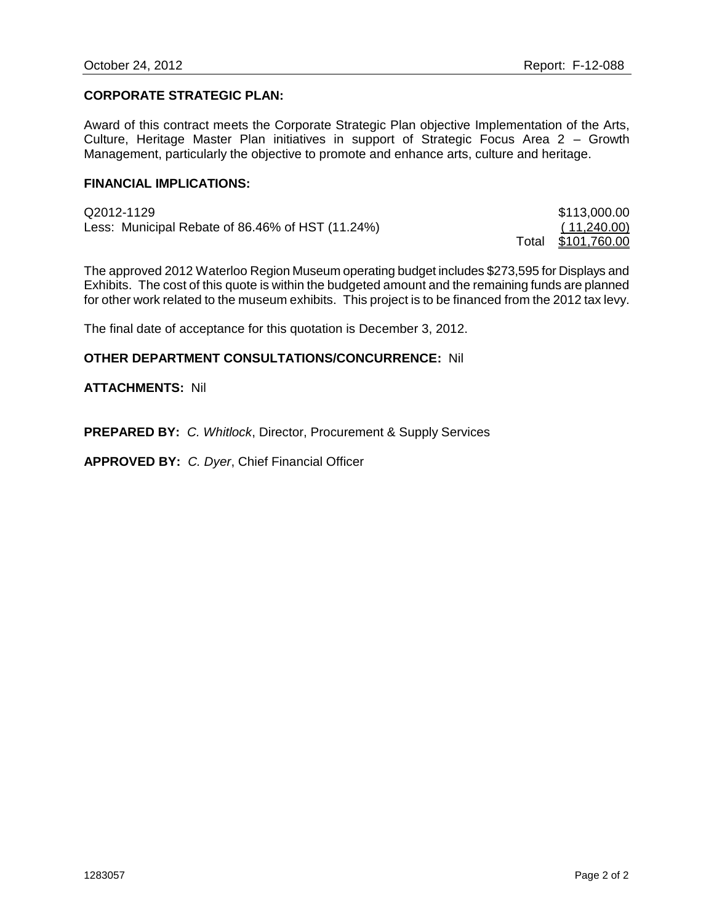#### **CORPORATE STRATEGIC PLAN:**

Award of this contract meets the Corporate Strategic Plan objective Implementation of the Arts, Culture, Heritage Master Plan initiatives in support of Strategic Focus Area 2 – Growth Management, particularly the objective to promote and enhance arts, culture and heritage.

#### **FINANCIAL IMPLICATIONS:**

| Q2012-1129                                       | \$113,000.00       |
|--------------------------------------------------|--------------------|
| Less: Municipal Rebate of 86.46% of HST (11.24%) | (11,240.00)        |
|                                                  | Total \$101,760.00 |

The approved 2012 Waterloo Region Museum operating budget includes \$273,595 for Displays and Exhibits. The cost of this quote is within the budgeted amount and the remaining funds are planned for other work related to the museum exhibits. This project is to be financed from the 2012 tax levy.

The final date of acceptance for this quotation is December 3, 2012.

#### **OTHER DEPARTMENT CONSULTATIONS/CONCURRENCE:** Nil

#### **ATTACHMENTS:** Nil

**PREPARED BY:** *C. Whitlock*, Director, Procurement & Supply Services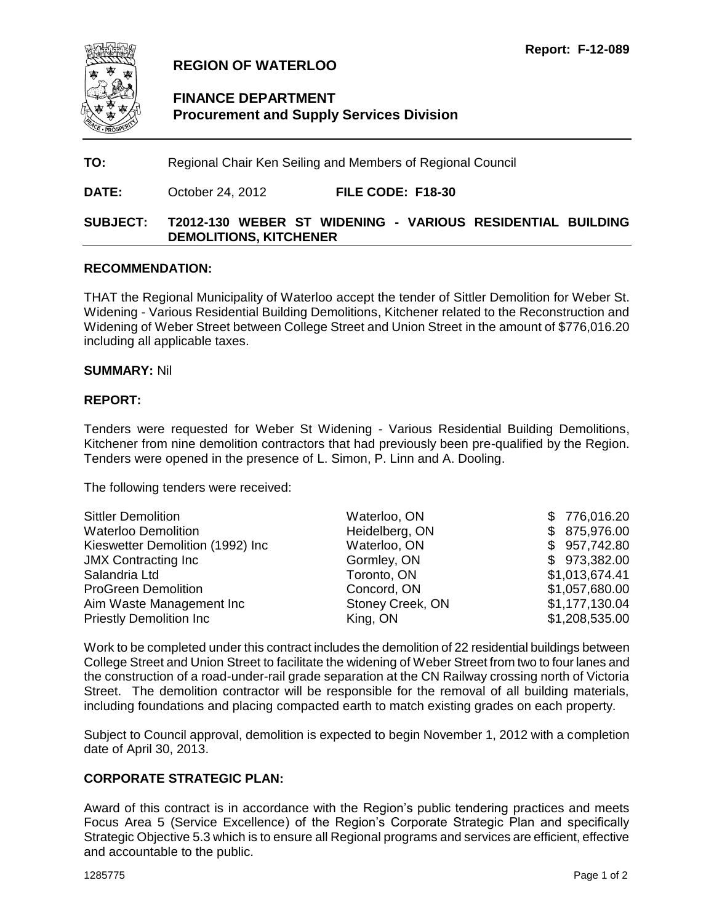<span id="page-9-0"></span>

# **FINANCE DEPARTMENT Procurement and Supply Services Division**

**TO:** Regional Chair Ken Seiling and Members of Regional Council

**DATE:** October 24, 2012 **FILE CODE: F18-30**

### **SUBJECT: T2012-130 WEBER ST WIDENING - VARIOUS RESIDENTIAL BUILDING DEMOLITIONS, KITCHENER**

#### **RECOMMENDATION:**

THAT the Regional Municipality of Waterloo accept the tender of Sittler Demolition for Weber St. Widening - Various Residential Building Demolitions, Kitchener related to the Reconstruction and Widening of Weber Street between College Street and Union Street in the amount of \$776,016.20 including all applicable taxes.

#### **SUMMARY:** Nil

#### **REPORT:**

Tenders were requested for Weber St Widening - Various Residential Building Demolitions, Kitchener from nine demolition contractors that had previously been pre-qualified by the Region. Tenders were opened in the presence of L. Simon, P. Linn and A. Dooling.

The following tenders were received:

| <b>Sittler Demolition</b>        | Waterloo, ON     | \$776,016.20   |
|----------------------------------|------------------|----------------|
| <b>Waterloo Demolition</b>       | Heidelberg, ON   | \$ 875,976.00  |
| Kieswetter Demolition (1992) Inc | Waterloo, ON     | \$957,742.80   |
| <b>JMX Contracting Inc.</b>      | Gormley, ON      | \$973,382.00   |
| Salandria Ltd                    | Toronto, ON      | \$1,013,674.41 |
| <b>ProGreen Demolition</b>       | Concord, ON      | \$1,057,680.00 |
| Aim Waste Management Inc.        | Stoney Creek, ON | \$1,177,130.04 |
| <b>Priestly Demolition Inc.</b>  | King, ON         | \$1,208,535.00 |

Work to be completed under this contract includes the demolition of 22 residential buildings between College Street and Union Street to facilitate the widening of Weber Street from two to four lanes and the construction of a road-under-rail grade separation at the CN Railway crossing north of Victoria Street. The demolition contractor will be responsible for the removal of all building materials, including foundations and placing compacted earth to match existing grades on each property.

Subject to Council approval, demolition is expected to begin November 1, 2012 with a completion date of April 30, 2013.

### **CORPORATE STRATEGIC PLAN:**

Award of this contract is in accordance with the Region's public tendering practices and meets Focus Area 5 (Service Excellence) of the Region's Corporate Strategic Plan and specifically Strategic Objective 5.3 which is to ensure all Regional programs and services are efficient, effective and accountable to the public.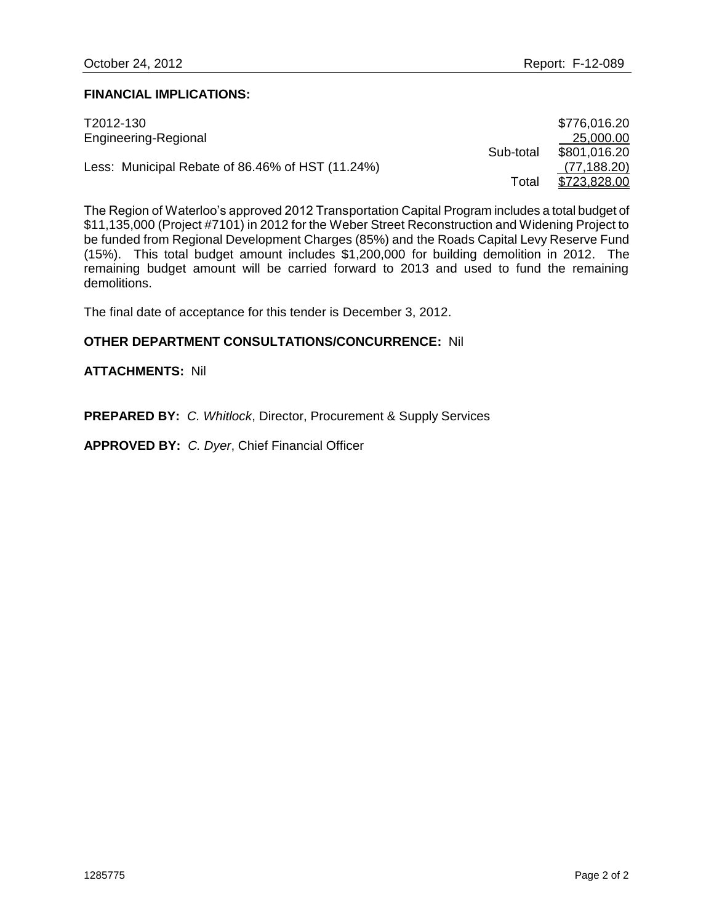#### **FINANCIAL IMPLICATIONS:**

| T2012-130                                        |           | \$776,016.20 |
|--------------------------------------------------|-----------|--------------|
| Engineering-Regional                             |           | 25,000.00    |
|                                                  | Sub-total | \$801,016.20 |
| Less: Municipal Rebate of 86.46% of HST (11.24%) |           | (77, 188.20) |
|                                                  | Total     | \$723,828.00 |

The Region of Waterloo's approved 2012 Transportation Capital Program includes a total budget of \$11,135,000 (Project #7101) in 2012 for the Weber Street Reconstruction and Widening Project to be funded from Regional Development Charges (85%) and the Roads Capital Levy Reserve Fund (15%). This total budget amount includes \$1,200,000 for building demolition in 2012. The remaining budget amount will be carried forward to 2013 and used to fund the remaining demolitions.

The final date of acceptance for this tender is December 3, 2012.

### **OTHER DEPARTMENT CONSULTATIONS/CONCURRENCE:** Nil

#### **ATTACHMENTS:** Nil

**PREPARED BY:** *C. Whitlock*, Director, Procurement & Supply Services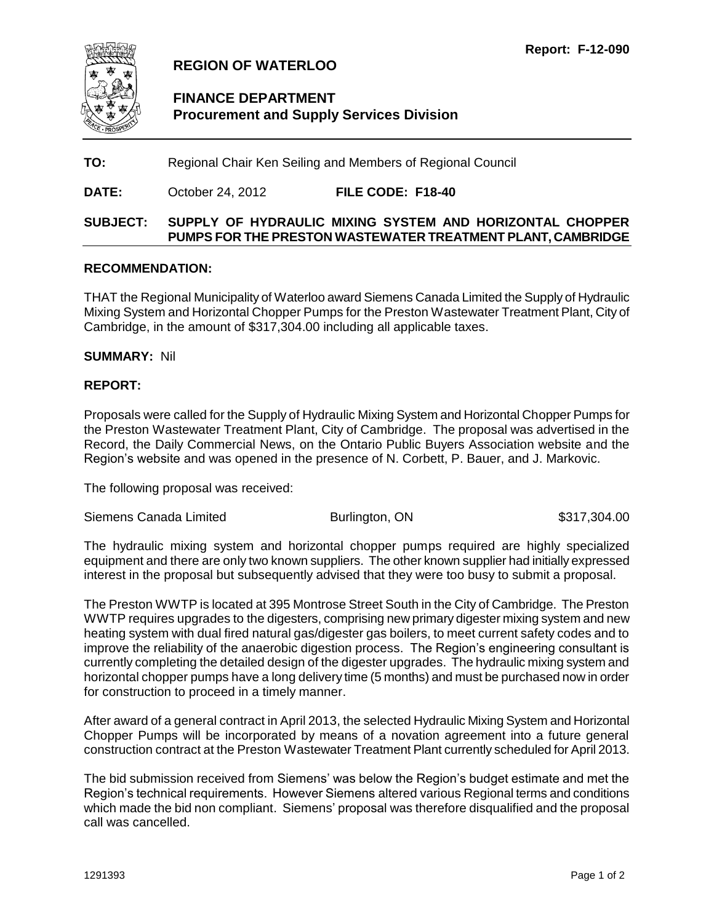<span id="page-11-0"></span>

# **FINANCE DEPARTMENT Procurement and Supply Services Division**

**TO:** Regional Chair Ken Seiling and Members of Regional Council

**DATE:** October 24, 2012 **FILE CODE: F18-40**

# **SUBJECT: SUPPLY OF HYDRAULIC MIXING SYSTEM AND HORIZONTAL CHOPPER PUMPS FOR THE PRESTON WASTEWATER TREATMENT PLANT, CAMBRIDGE**

#### **RECOMMENDATION:**

THAT the Regional Municipality of Waterloo award Siemens Canada Limited the Supply of Hydraulic Mixing System and Horizontal Chopper Pumps for the Preston Wastewater Treatment Plant, City of Cambridge, in the amount of \$317,304.00 including all applicable taxes.

**SUMMARY:** Nil

#### **REPORT:**

Proposals were called for the Supply of Hydraulic Mixing System and Horizontal Chopper Pumps for the Preston Wastewater Treatment Plant, City of Cambridge. The proposal was advertised in the Record, the Daily Commercial News, on the Ontario Public Buyers Association website and the Region's website and was opened in the presence of N. Corbett, P. Bauer, and J. Markovic.

The following proposal was received:

Siemens Canada Limited **Burlington, ON** \$317,304.00

The hydraulic mixing system and horizontal chopper pumps required are highly specialized equipment and there are only two known suppliers. The other known supplier had initially expressed interest in the proposal but subsequently advised that they were too busy to submit a proposal.

The Preston WWTP is located at 395 Montrose Street South in the City of Cambridge. The Preston WWTP requires upgrades to the digesters, comprising new primary digester mixing system and new heating system with dual fired natural gas/digester gas boilers, to meet current safety codes and to improve the reliability of the anaerobic digestion process. The Region's engineering consultant is currently completing the detailed design of the digester upgrades. The hydraulic mixing system and horizontal chopper pumps have a long delivery time (5 months) and must be purchased now in order for construction to proceed in a timely manner.

After award of a general contract in April 2013, the selected Hydraulic Mixing System and Horizontal Chopper Pumps will be incorporated by means of a novation agreement into a future general construction contract at the Preston Wastewater Treatment Plant currently scheduled for April 2013.

The bid submission received from Siemens' was below the Region's budget estimate and met the Region's technical requirements. However Siemens altered various Regional terms and conditions which made the bid non compliant. Siemens' proposal was therefore disqualified and the proposal call was cancelled.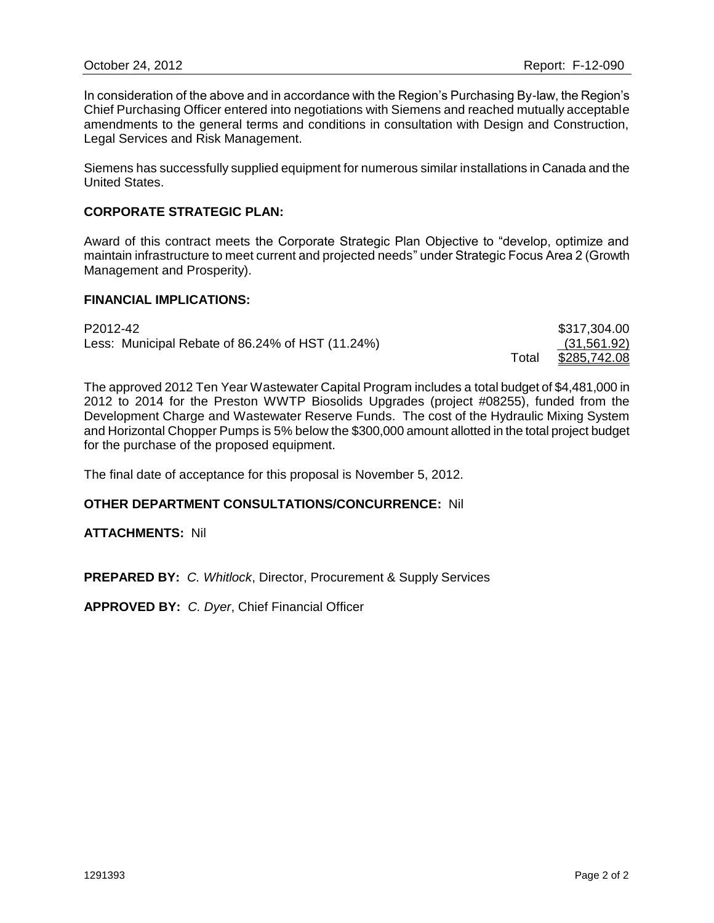In consideration of the above and in accordance with the Region's Purchasing By-law, the Region's Chief Purchasing Officer entered into negotiations with Siemens and reached mutually acceptable amendments to the general terms and conditions in consultation with Design and Construction, Legal Services and Risk Management.

Siemens has successfully supplied equipment for numerous similar installations in Canada and the United States.

#### **CORPORATE STRATEGIC PLAN:**

Award of this contract meets the Corporate Strategic Plan Objective to "develop, optimize and maintain infrastructure to meet current and projected needs" under Strategic Focus Area 2 (Growth Management and Prosperity).

#### **FINANCIAL IMPLICATIONS:**

| P2012-42                                         |       | \$317,304.00 |
|--------------------------------------------------|-------|--------------|
| Less: Municipal Rebate of 86.24% of HST (11.24%) |       | (31,561.92)  |
|                                                  | ⊤otal | \$285,742.08 |

The approved 2012 Ten Year Wastewater Capital Program includes a total budget of \$4,481,000 in 2012 to 2014 for the Preston WWTP Biosolids Upgrades (project #08255), funded from the Development Charge and Wastewater Reserve Funds. The cost of the Hydraulic Mixing System and Horizontal Chopper Pumps is 5% below the \$300,000 amount allotted in the total project budget for the purchase of the proposed equipment.

The final date of acceptance for this proposal is November 5, 2012.

#### **OTHER DEPARTMENT CONSULTATIONS/CONCURRENCE:** Nil

**ATTACHMENTS:** Nil

**PREPARED BY:** *C. Whitlock*, Director, Procurement & Supply Services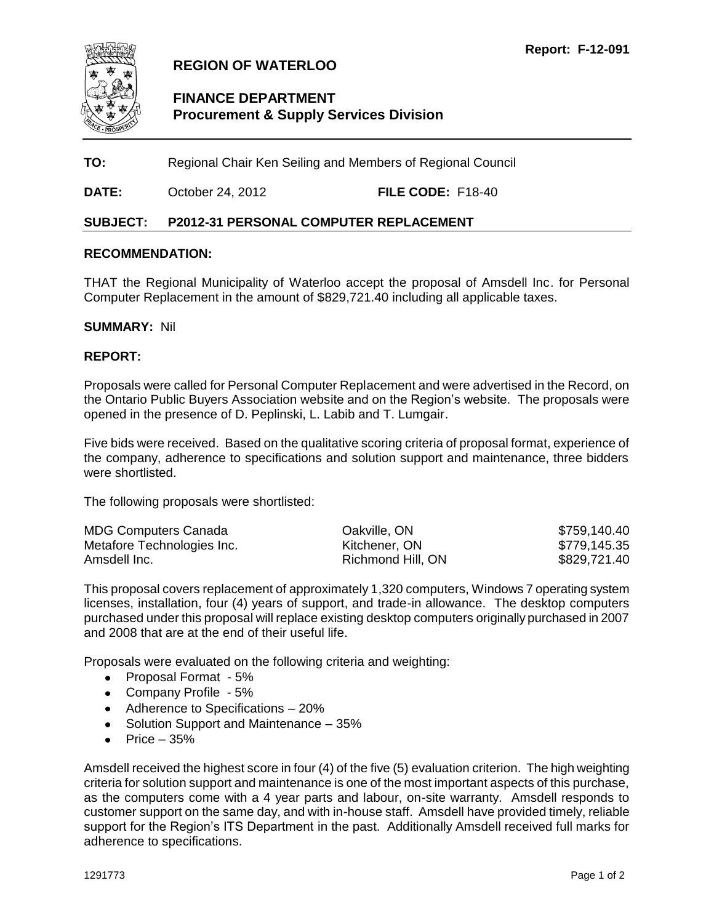<span id="page-13-0"></span>

# **FINANCE DEPARTMENT Procurement & Supply Services Division**

**TO:** Regional Chair Ken Seiling and Members of Regional Council

**DATE:** October 24, 2012 **FILE CODE:** F18-40

# **SUBJECT: P2012-31 PERSONAL COMPUTER REPLACEMENT**

#### **RECOMMENDATION:**

THAT the Regional Municipality of Waterloo accept the proposal of Amsdell Inc. for Personal Computer Replacement in the amount of \$829,721.40 including all applicable taxes.

#### **SUMMARY:** Nil

#### **REPORT:**

Proposals were called for Personal Computer Replacement and were advertised in the Record, on the Ontario Public Buyers Association website and on the Region's website. The proposals were opened in the presence of D. Peplinski, L. Labib and T. Lumgair.

Five bids were received. Based on the qualitative scoring criteria of proposal format, experience of the company, adherence to specifications and solution support and maintenance, three bidders were shortlisted.

The following proposals were shortlisted:

| <b>MDG Computers Canada</b> | Oakville, ON      | \$759,140.40 |
|-----------------------------|-------------------|--------------|
| Metafore Technologies Inc.  | Kitchener, ON     | \$779,145.35 |
| Amsdell Inc.                | Richmond Hill, ON | \$829,721.40 |

This proposal covers replacement of approximately 1,320 computers, Windows 7 operating system licenses, installation, four (4) years of support, and trade-in allowance. The desktop computers purchased under this proposal will replace existing desktop computers originally purchased in 2007 and 2008 that are at the end of their useful life.

Proposals were evaluated on the following criteria and weighting:

- Proposal Format 5%
- Company Profile 5%
- Adherence to Specifications 20%
- Solution Support and Maintenance 35%
- $\bullet$  Price 35%

Amsdell received the highest score in four (4) of the five (5) evaluation criterion. The high weighting criteria for solution support and maintenance is one of the most important aspects of this purchase, as the computers come with a 4 year parts and labour, on-site warranty. Amsdell responds to customer support on the same day, and with in-house staff. Amsdell have provided timely, reliable support for the Region's ITS Department in the past. Additionally Amsdell received full marks for adherence to specifications.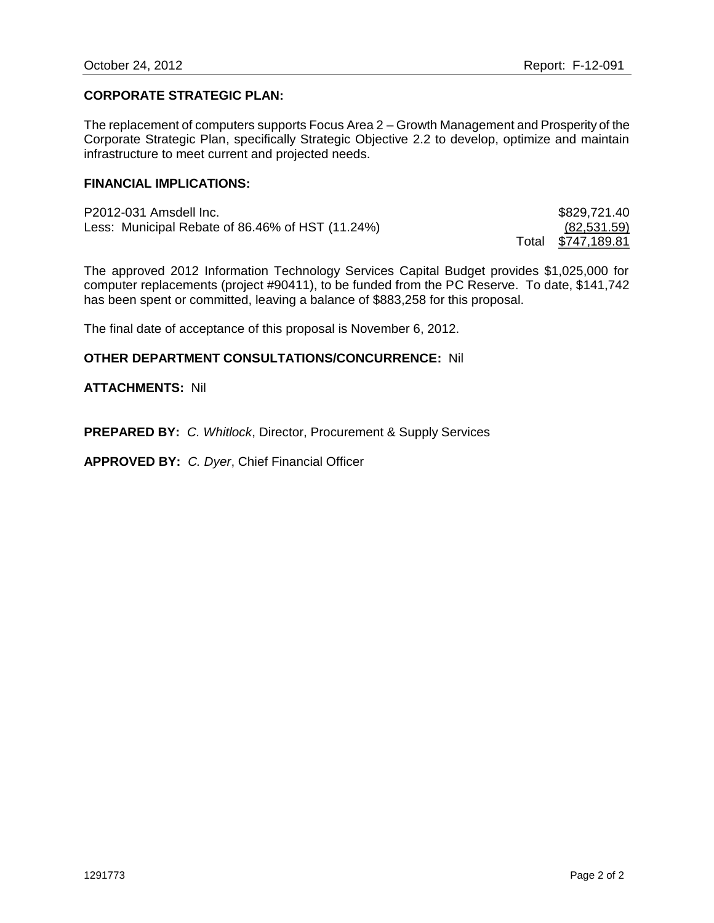#### **CORPORATE STRATEGIC PLAN:**

The replacement of computers supports Focus Area 2 – Growth Management and Prosperity of the Corporate Strategic Plan, specifically Strategic Objective 2.2 to develop, optimize and maintain infrastructure to meet current and projected needs.

#### **FINANCIAL IMPLICATIONS:**

| P2012-031 Amsdell Inc.                           |       | \$829,721.40 |
|--------------------------------------------------|-------|--------------|
| Less: Municipal Rebate of 86.46% of HST (11.24%) |       | (82,531.59)  |
|                                                  | ⊤otal | \$747,189.81 |

The approved 2012 Information Technology Services Capital Budget provides \$1,025,000 for computer replacements (project #90411), to be funded from the PC Reserve. To date, \$141,742 has been spent or committed, leaving a balance of \$883,258 for this proposal.

The final date of acceptance of this proposal is November 6, 2012.

#### **OTHER DEPARTMENT CONSULTATIONS/CONCURRENCE:** Nil

#### **ATTACHMENTS:** Nil

**PREPARED BY:** *C. Whitlock*, Director, Procurement & Supply Services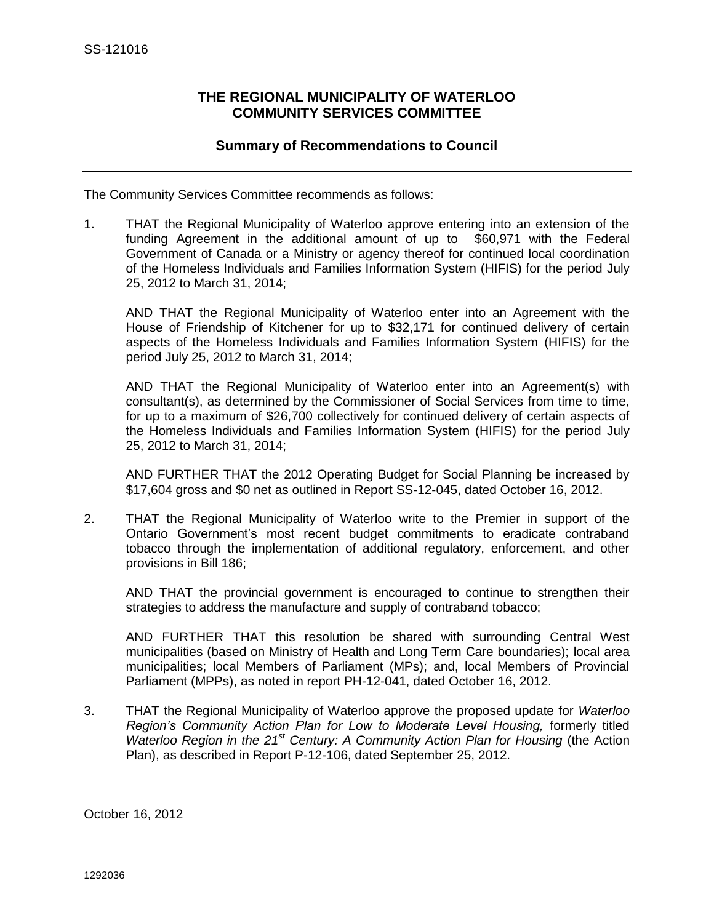# **THE REGIONAL MUNICIPALITY OF WATERLOO COMMUNITY SERVICES COMMITTEE**

# **Summary of Recommendations to Council**

<span id="page-15-0"></span>The Community Services Committee recommends as follows:

1. THAT the Regional Municipality of Waterloo approve entering into an extension of the funding Agreement in the additional amount of up to \$60,971 with the Federal Government of Canada or a Ministry or agency thereof for continued local coordination of the Homeless Individuals and Families Information System (HIFIS) for the period July 25, 2012 to March 31, 2014;

AND THAT the Regional Municipality of Waterloo enter into an Agreement with the House of Friendship of Kitchener for up to \$32,171 for continued delivery of certain aspects of the Homeless Individuals and Families Information System (HIFIS) for the period July 25, 2012 to March 31, 2014;

AND THAT the Regional Municipality of Waterloo enter into an Agreement(s) with consultant(s), as determined by the Commissioner of Social Services from time to time, for up to a maximum of \$26,700 collectively for continued delivery of certain aspects of the Homeless Individuals and Families Information System (HIFIS) for the period July 25, 2012 to March 31, 2014;

AND FURTHER THAT the 2012 Operating Budget for Social Planning be increased by \$17,604 gross and \$0 net as outlined in Report SS-12-045, dated October 16, 2012.

2. THAT the Regional Municipality of Waterloo write to the Premier in support of the Ontario Government's most recent budget commitments to eradicate contraband tobacco through the implementation of additional regulatory, enforcement, and other provisions in Bill 186;

AND THAT the provincial government is encouraged to continue to strengthen their strategies to address the manufacture and supply of contraband tobacco;

AND FURTHER THAT this resolution be shared with surrounding Central West municipalities (based on Ministry of Health and Long Term Care boundaries); local area municipalities; local Members of Parliament (MPs); and, local Members of Provincial Parliament (MPPs), as noted in report PH-12-041, dated October 16, 2012.

3. THAT the Regional Municipality of Waterloo approve the proposed update for *Waterloo Region's Community Action Plan for Low to Moderate Level Housing,* formerly titled *Waterloo Region in the 21st Century: A Community Action Plan for Housing* (the Action Plan), as described in Report P-12-106, dated September 25, 2012.

October 16, 2012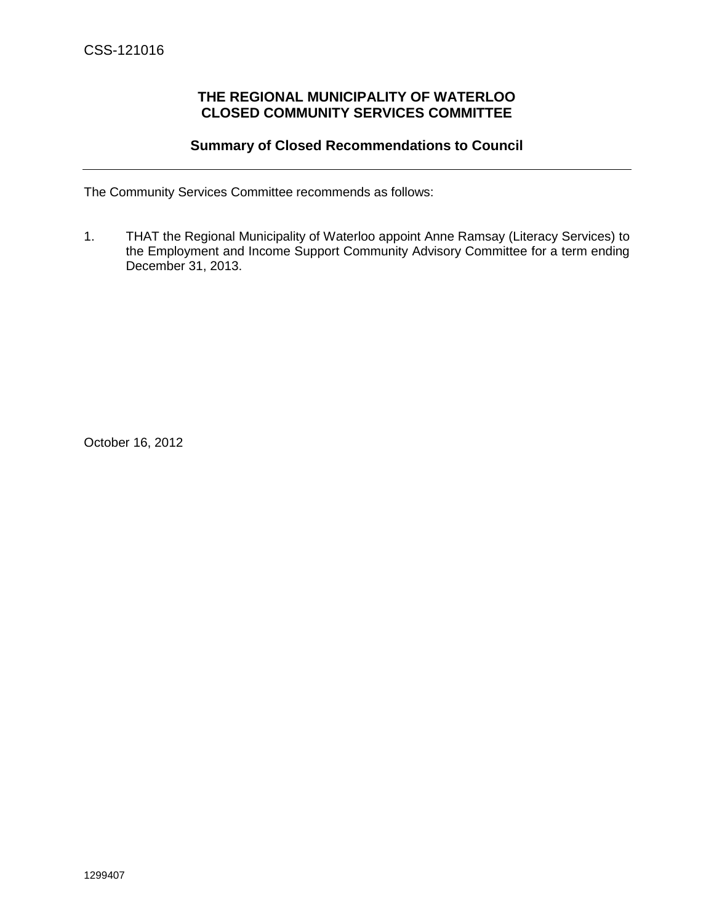# **THE REGIONAL MUNICIPALITY OF WATERLOO CLOSED COMMUNITY SERVICES COMMITTEE**

# **Summary of Closed Recommendations to Council**

<span id="page-16-0"></span>The Community Services Committee recommends as follows:

1. THAT the Regional Municipality of Waterloo appoint Anne Ramsay (Literacy Services) to the Employment and Income Support Community Advisory Committee for a term ending December 31, 2013.

October 16, 2012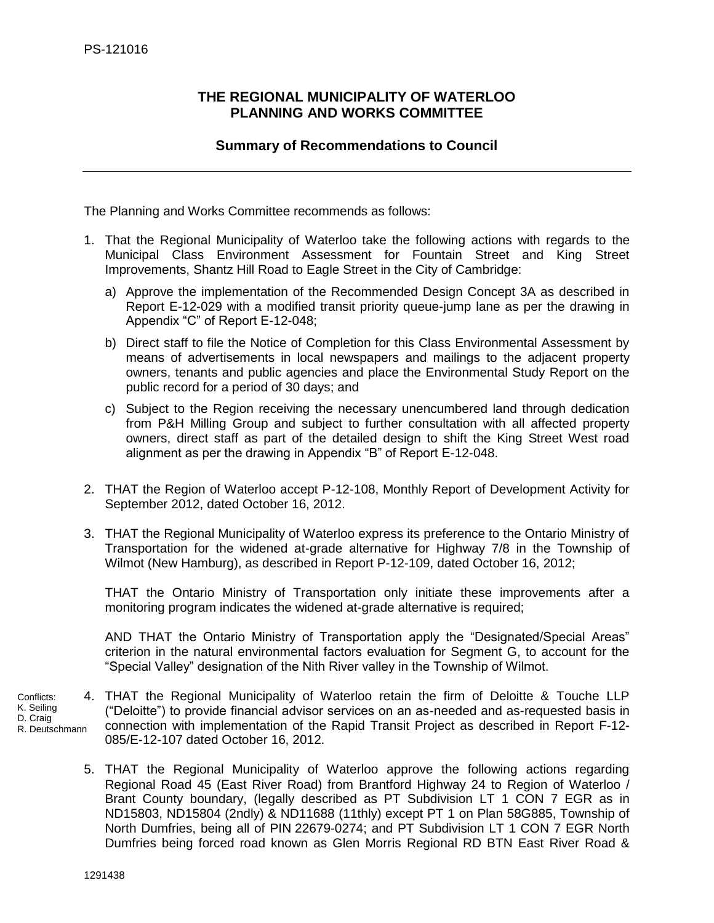# <span id="page-17-0"></span>**THE REGIONAL MUNICIPALITY OF WATERLOO PLANNING AND WORKS COMMITTEE**

# **Summary of Recommendations to Council**

The Planning and Works Committee recommends as follows:

- 1. That the Regional Municipality of Waterloo take the following actions with regards to the Municipal Class Environment Assessment for Fountain Street and King Street Improvements, Shantz Hill Road to Eagle Street in the City of Cambridge:
	- a) Approve the implementation of the Recommended Design Concept 3A as described in Report E-12-029 with a modified transit priority queue-jump lane as per the drawing in Appendix "C" of Report E-12-048;
	- b) Direct staff to file the Notice of Completion for this Class Environmental Assessment by means of advertisements in local newspapers and mailings to the adjacent property owners, tenants and public agencies and place the Environmental Study Report on the public record for a period of 30 days; and
	- c) Subject to the Region receiving the necessary unencumbered land through dedication from P&H Milling Group and subject to further consultation with all affected property owners, direct staff as part of the detailed design to shift the King Street West road alignment as per the drawing in Appendix "B" of Report E-12-048.
- 2. THAT the Region of Waterloo accept P-12-108, Monthly Report of Development Activity for September 2012, dated October 16, 2012.
- 3. THAT the Regional Municipality of Waterloo express its preference to the Ontario Ministry of Transportation for the widened at-grade alternative for Highway 7/8 in the Township of Wilmot (New Hamburg), as described in Report P-12-109, dated October 16, 2012;

THAT the Ontario Ministry of Transportation only initiate these improvements after a monitoring program indicates the widened at-grade alternative is required;

AND THAT the Ontario Ministry of Transportation apply the "Designated/Special Areas" criterion in the natural environmental factors evaluation for Segment G, to account for the "Special Valley" designation of the Nith River valley in the Township of Wilmot.

- 4. THAT the Regional Municipality of Waterloo retain the firm of Deloitte & Touche LLP ("Deloitte") to provide financial advisor services on an as-needed and as-requested basis in connection with implementation of the Rapid Transit Project as described in Report F-12- 085/E-12-107 dated October 16, 2012. Conflicts: K. Seiling D. Craig R. Deutschmann
	- 5. THAT the Regional Municipality of Waterloo approve the following actions regarding Regional Road 45 (East River Road) from Brantford Highway 24 to Region of Waterloo / Brant County boundary, (legally described as PT Subdivision LT 1 CON 7 EGR as in ND15803, ND15804 (2ndly) & ND11688 (11thly) except PT 1 on Plan 58G885, Township of North Dumfries, being all of PIN 22679-0274; and PT Subdivision LT 1 CON 7 EGR North Dumfries being forced road known as Glen Morris Regional RD BTN East River Road &